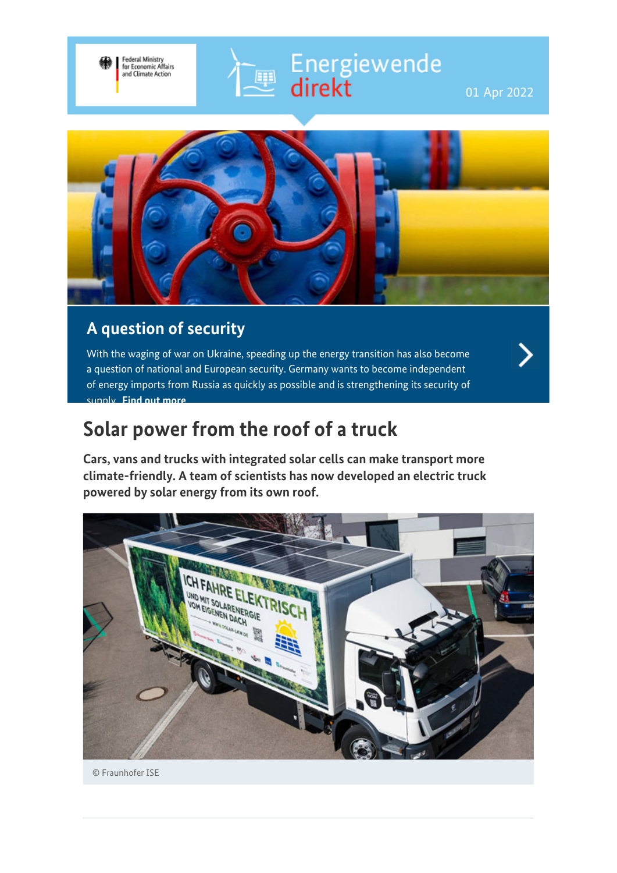# Energiewende<br>direkt

01 Apr 2022



E

## **A question of security**

Federal Ministry<br>for Economic Affairs<br>and Climate Action

With the waging of war on Ukraine, speeding up the energy transition has also become a question of national and European security. Germany wants to become independent of energy imports from Russia as quickly as possible and is strengthening its security of supply. **[Find out more](https://www.bmwi-energiewende.de/EWD/Redaktion/EN/Newsletter/2022/03/Meldung/topthema.html)**

## **Solar power from the roof of a truck**

**Cars, vans and trucks with integrated solar cells can make transport more climate-friendly. A team of scientists has now developed an electric truck powered by solar energy from its own roof.**



© Fraunhofer ISE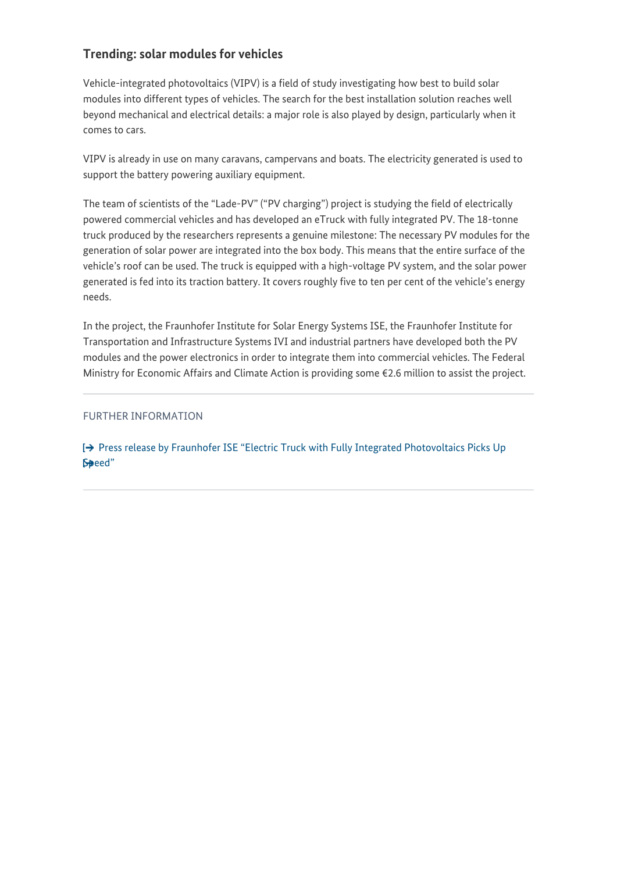#### **Trending: solar modules for vehicles**

Vehicle-integrated photovoltaics (VIPV) is a field of study investigating how best to build solar modules into different types of vehicles. The search for the best installation solution reaches well beyond mechanical and electrical details: a major role is also played by design, particularly when it comes to cars.

VIPV is already in use on many caravans, campervans and boats. The electricity generated is used to support the battery powering auxiliary equipment.

The team of scientists of the "Lade-PV" ("PV charging") project is studying the field of electrically powered commercial vehicles and has developed an eTruck with fully integrated PV. The 18-tonne truck produced by the researchers represents a genuine milestone: The necessary PV modules for the generation of solar power are integrated into the box body. This means that the entire surface of the vehicle's roof can be used. The truck is equipped with a high-voltage PV system, and the solar power generated is fed into its traction battery. It covers roughly five to ten per cent of the vehicle's energy needs.

In the project, the Fraunhofer Institute for Solar Energy Systems ISE, the Fraunhofer Institute for Transportation and Infrastructure Systems IVI and industrial partners have developed both the PV modules and the power electronics in order to integrate them into commercial vehicles. The Federal Ministry for Economic Affairs and Climate Action is providing some €2.6 million to assist the project.

#### FURTHER INFORMATION

[→ [Press release by Fraunhofer ISE "Electric Truck with Fully Integrated Photovoltaics Picks Up](https://www.ise.fraunhofer.de/en/press-media/press-releases/2021/electric-truck-with-fully-integrated-photovoltaics-picks-up-speed.html) [Speed"](https://www.ise.fraunhofer.de/en/press-media/press-releases/2021/electric-truck-with-fully-integrated-photovoltaics-picks-up-speed.html)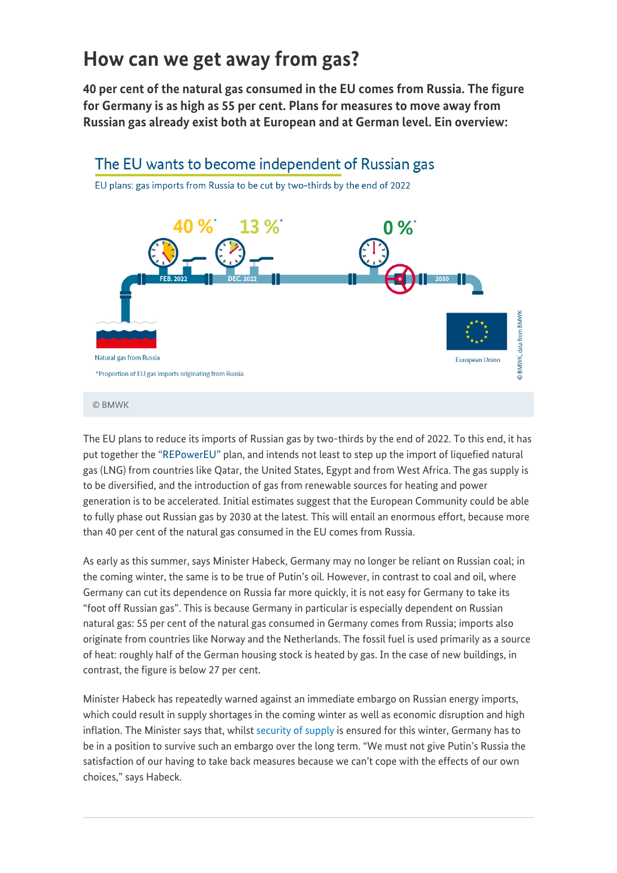## **How can we get away from gas?**

**40 per cent of the natural gas consumed in the EU comes from Russia. The figure for Germany is as high as 55 per cent. Plans for measures to move away from Russian gas already exist both at European and at German level. Ein overview:**



#### © BMWK

The EU plans to reduce its imports of Russian gas by two-thirds by the end of 2022. To this end, it has put together the ["REPowerEU"](https://ec.europa.eu/commission/presscorner/detail/en/ip_22_1511) plan, and intends not least to step up the import of liquefied natural gas (LNG) from countries like Qatar, the United States, Egypt and from West Africa. The gas supply is to be diversified, and the introduction of gas from renewable sources for heating and power generation is to be accelerated. Initial estimates suggest that the European Community could be able to fully phase out Russian gas by 2030 at the latest. This will entail an enormous effort, because more than 40 per cent of the natural gas consumed in the EU comes from Russia.

As early as this summer, says Minister Habeck, Germany may no longer be reliant on Russian coal; in the coming winter, the same is to be true of Putin's oil. However, in contrast to coal and oil, where Germany can cut its dependence on Russia far more quickly, it is not easy for Germany to take its "foot off Russian gas". This is because Germany in particular is especially dependent on Russian natural gas: 55 per cent of the natural gas consumed in Germany comes from Russia; imports also originate from countries like Norway and the Netherlands. The fossil fuel is used primarily as a source of heat: roughly half of the German housing stock is heated by gas. In the case of new buildings, in contrast, the figure is below 27 per cent.

Minister Habeck has repeatedly warned against an immediate embargo on Russian energy imports, which could result in supply shortages in the coming winter as well as economic disruption and high inflation. The Minister says that, whilst [security of supply](https://www.bmwi-energiewende.de/EWD/Redaktion/EN/Newsletter/2022/03/Meldung/topthema.html) is ensured for this winter, Germany has to be in a position to survive such an embargo over the long term. "We must not give Putin's Russia the satisfaction of our having to take back measures because we can't cope with the effects of our own choices," says Habeck.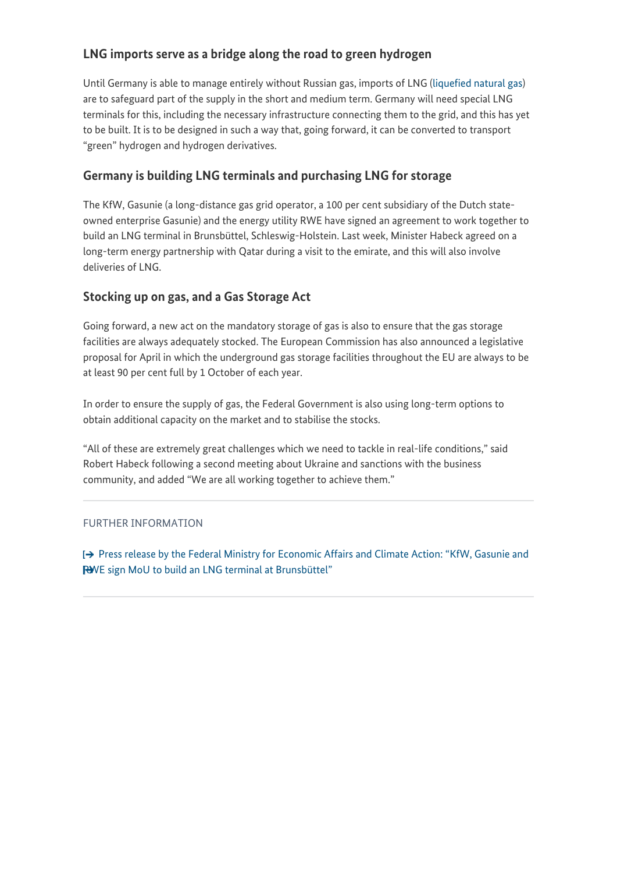#### **LNG imports serve as a bridge along the road to green hydrogen**

Until Germany is able to manage entirely without Russian gas, imports of LNG ([liquefied natural gas](https://www.bmwi-energiewende.de/EWD/Redaktion/Newsletter/2016/11/Meldung/direkt-erklaert.html)) are to safeguard part of the supply in the short and medium term. Germany will need special LNG terminals for this, including the necessary infrastructure connecting them to the grid, and this has yet to be built. It is to be designed in such a way that, going forward, it can be converted to transport "green" hydrogen and hydrogen derivatives.

## **Germany is building LNG terminals and purchasing LNG for storage**

The KfW, Gasunie (a long-distance gas grid operator, a 100 per cent subsidiary of the Dutch stateowned enterprise Gasunie) and the energy utility RWE have signed an agreement to work together to build an LNG terminal in Brunsbüttel, Schleswig-Holstein. Last week, Minister Habeck agreed on a long-term energy partnership with Qatar during a visit to the emirate, and this will also involve deliveries of LNG.

#### **Stocking up on gas, and a Gas Storage Act**

Going forward, a new act on the mandatory storage of gas is also to ensure that the gas storage facilities are always adequately stocked. The European Commission has also announced a legislative proposal for April in which the underground gas storage facilities throughout the EU are always to be at least 90 per cent full by 1 October of each year.

In order to ensure the supply of gas, the Federal Government is also using long-term options to obtain additional capacity on the market and to stabilise the stocks.

"All of these are extremely great challenges which we need to tackle in real-life conditions," said Robert Habeck following a second meeting about Ukraine and sanctions with the business community, and added "We are all working together to achieve them."

#### FURTHER INFORMATION

[Press release by the Federal Ministry for Economic Affairs and Climate Action: "KfW, Gasunie and](https://www.bmwi.de/SiteGlobals/BMWI/Forms/Suche/EN/Expertensuche_Formular.html?resourceId=308924&input_=308918&pageLocale=en&templateQueryStringListen=hydrogen&to=&from=&documentType_=&documentType_.GROUP=1&cl2Categories_LeadKeyword=&cl2Categories_LeadKeyword.GROUP=1&selectSort=score+desc&selectSort.GROUP=1&selectTimePeriod=4_diesenmonat&selectTimePeriod.GROUP=1#form-308924) [RWE sign MoU to build an LNG terminal at Brunsbüttel"](https://www.bmwi.de/SiteGlobals/BMWI/Forms/Suche/EN/Expertensuche_Formular.html?resourceId=308924&input_=308918&pageLocale=en&templateQueryStringListen=hydrogen&to=&from=&documentType_=&documentType_.GROUP=1&cl2Categories_LeadKeyword=&cl2Categories_LeadKeyword.GROUP=1&selectSort=score+desc&selectSort.GROUP=1&selectTimePeriod=4_diesenmonat&selectTimePeriod.GROUP=1#form-308924)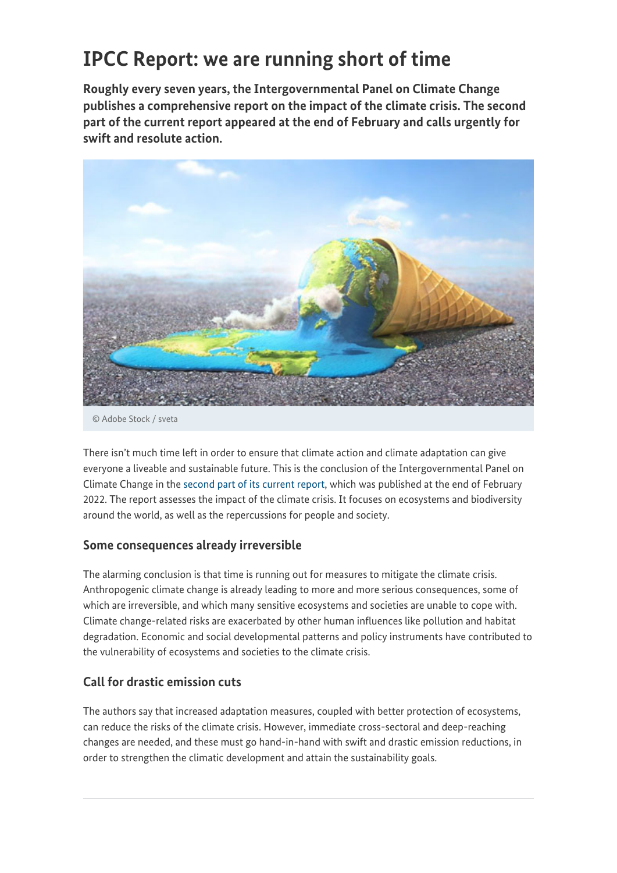# **IPCC Report: we are running short of time**

**Roughly every seven years, the Intergovernmental Panel on Climate Change publishes a comprehensive report on the impact of the climate crisis. The second part of the current report appeared at the end of February and calls urgently for swift and resolute action.**



© Adobe Stock / sveta

There isn't much time left in order to ensure that climate action and climate adaptation can give everyone a liveable and sustainable future. This is the conclusion of the Intergovernmental Panel on Climate Change in the [second part of its current report](https://www.de-ipcc.de/354.php), which was published at the end of February 2022. The report assesses the impact of the climate crisis. It focuses on ecosystems and biodiversity around the world, as well as the repercussions for people and society.

#### **Some consequences already irreversible**

The alarming conclusion is that time is running out for measures to mitigate the climate crisis. Anthropogenic climate change is already leading to more and more serious consequences, some of which are irreversible, and which many sensitive ecosystems and societies are unable to cope with. Climate change-related risks are exacerbated by other human influences like pollution and habitat degradation. Economic and social developmental patterns and policy instruments have contributed to the vulnerability of ecosystems and societies to the climate crisis.

## **Call for drastic emission cuts**

The authors say that increased adaptation measures, coupled with better protection of ecosystems, can reduce the risks of the climate crisis. However, immediate cross-sectoral and deep-reaching changes are needed, and these must go hand-in-hand with swift and drastic emission reductions, in order to strengthen the climatic development and attain the sustainability goals.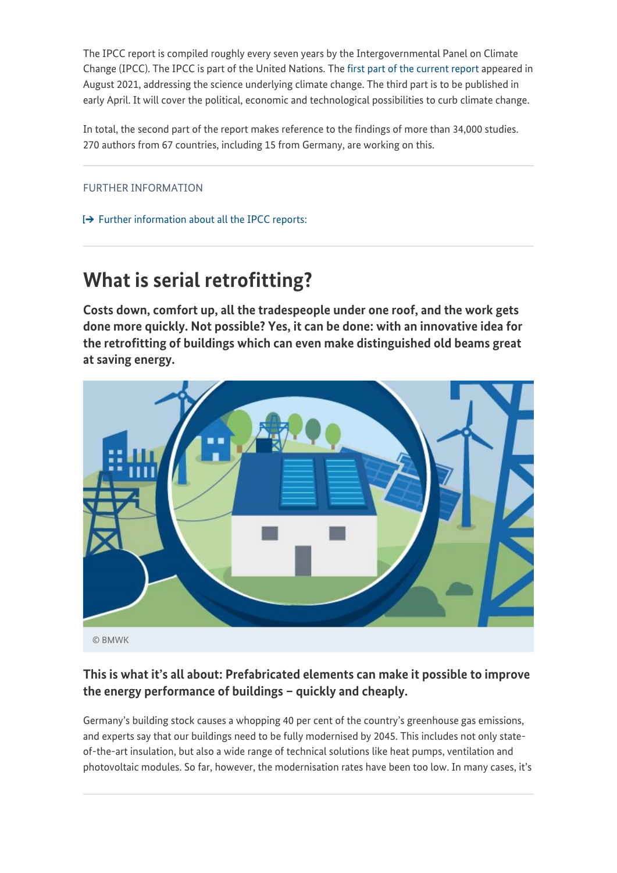The IPCC report is compiled roughly every seven years by the Intergovernmental Panel on Climate Change (IPCC). The IPCC is part of the United Nations. The [first part of the current report](https://www.de-ipcc.de/350.php) appeared in August 2021, addressing the science underlying climate change. The third part is to be published in early April. It will cover the political, economic and technological possibilities to curb climate change.

In total, the second part of the report makes reference to the findings of more than 34,000 studies. 270 authors from 67 countries, including 15 from Germany, are working on this.

FURTHER INFORMATION

 $\rightarrow$  [Further information about all the IPCC reports:](https://www.de-ipcc.de/307.php)

## **What is serial retrofitting?**

**Costs down, comfort up, all the tradespeople under one roof, and the work gets done more quickly. Not possible? Yes, it can be done: with an innovative idea for the retrofitting of buildings which can even make distinguished old beams great at saving energy.**



© BMWK

## **This is what it's all about: Prefabricated elements can make it possible to improve the energy performance of buildings – quickly and cheaply.**

Germany's building stock causes a whopping 40 per cent of the country's greenhouse gas emissions, and experts say that our buildings need to be fully modernised by 2045. This includes not only stateof-the-art insulation, but also a wide range of technical solutions like heat pumps, ventilation and photovoltaic modules. So far, however, the modernisation rates have been too low. In many cases, it's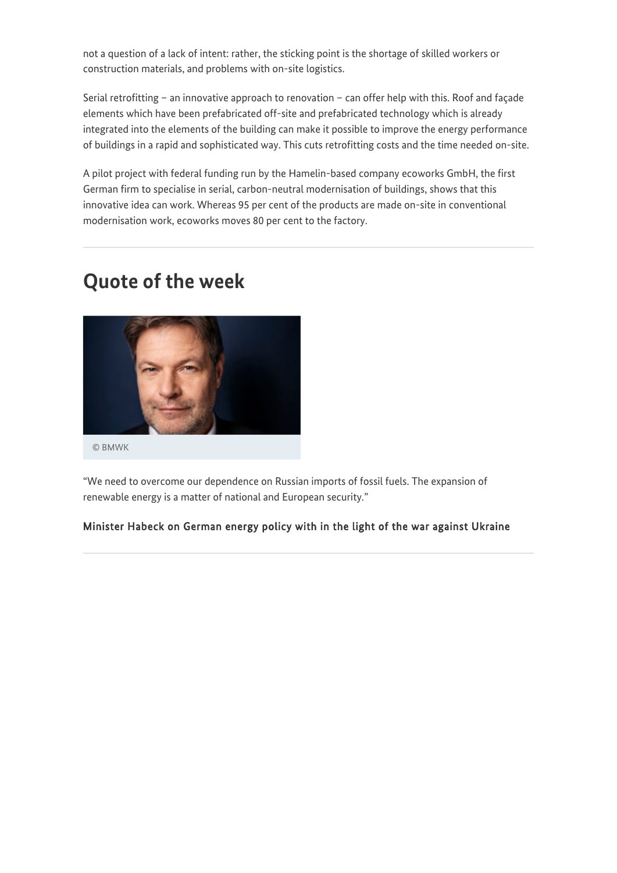not a question of a lack of intent: rather, the sticking point is the shortage of skilled workers or construction materials, and problems with on-site logistics.

Serial retrofitting – an innovative approach to renovation – can offer help with this. Roof and façade elements which have been prefabricated off-site and prefabricated technology which is already integrated into the elements of the building can make it possible to improve the energy performance of buildings in a rapid and sophisticated way. This cuts retrofitting costs and the time needed on-site.

A pilot project with federal funding run by the Hamelin-based company ecoworks GmbH, the first German firm to specialise in serial, carbon-neutral modernisation of buildings, shows that this innovative idea can work. Whereas 95 per cent of the products are made on-site in conventional modernisation work, ecoworks moves 80 per cent to the factory.

## **Quote of the week**



"We need to overcome our dependence on Russian imports of fossil fuels. The expansion of renewable energy is a matter of national and European security."

#### Minister Habeck on German energy policy with in the light of the war against Ukraine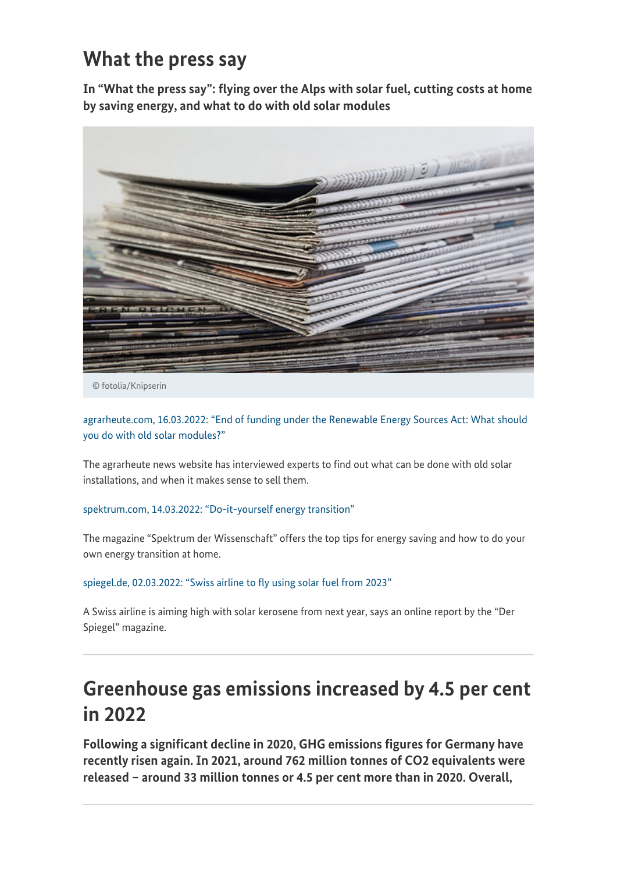## **What the press say**

**In "What the press say": flying over the Alps with solar fuel, cutting costs at home by saving energy, and what to do with old solar modules**



© fotolia/Knipserin

[agrarheute.com, 16.03.2022: "End of funding under the Renewable Energy Sources Act: What should](https://www.agrarheute.com/energie/ende-eeg-verguetung-tun-alten-solarmodulen-591343) [you do with old solar modules?"](https://www.agrarheute.com/energie/ende-eeg-verguetung-tun-alten-solarmodulen-591343)

The agrarheute news website has interviewed experts to find out what can be done with old solar installations, and when it makes sense to sell them.

[spektrum.com, 14.03.2022: "Do-it-yourself energy transition"](https://www.spektrum.de/news/energiewende-zum-selbermachen-tipps-zum-energiesparen/1991854)

The magazine "Spektrum der Wissenschaft" offers the top tips for energy saving and how to do your own energy transition at home.

[spiegel.de, 02.03.2022: "Swiss airline to fly using solar fuel from 2023"](https://www.spiegel.de/auto/lufthansa-tochter-swiss-airline-will-ab-2023-mit-solartreibstoff-fliegen-a-13d0d46f-45f0-4346-9887-5e9f3f67a223)

A Swiss airline is aiming high with solar kerosene from next year, says an online report by the "Der Spiegel" magazine.

# **Greenhouse gas emissions increased by 4.5 per cent in 2022**

**Following a significant decline in 2020, GHG emissions figures for Germany have recently risen again. In 2021, around 762 million tonnes of CO2 equivalents were released – around 33 million tonnes or 4.5 per cent more than in 2020. Overall,**